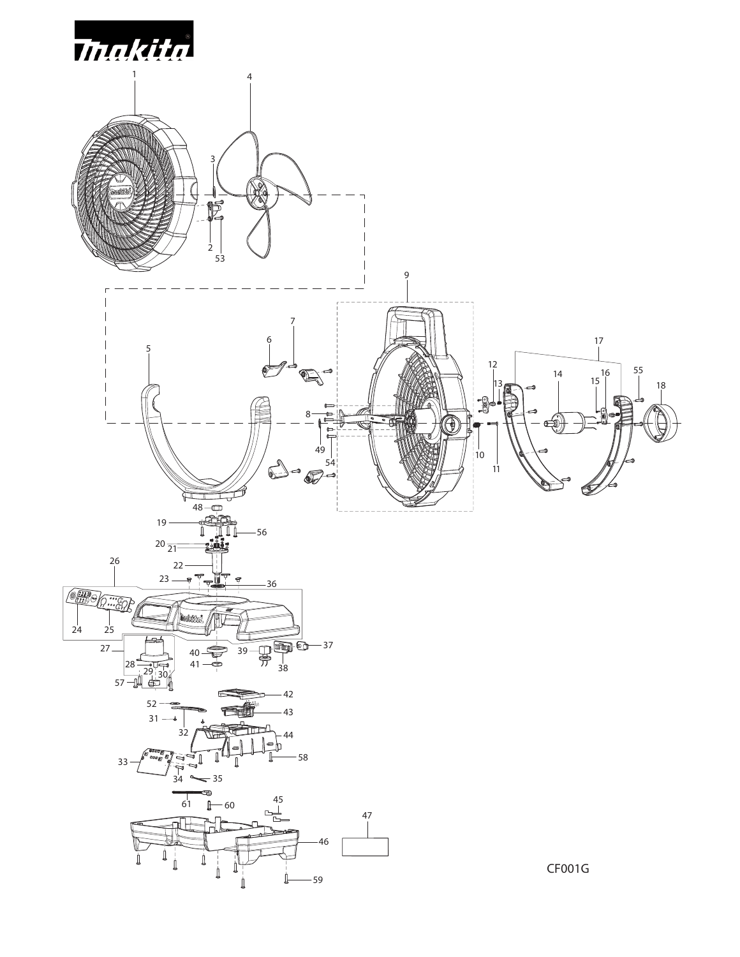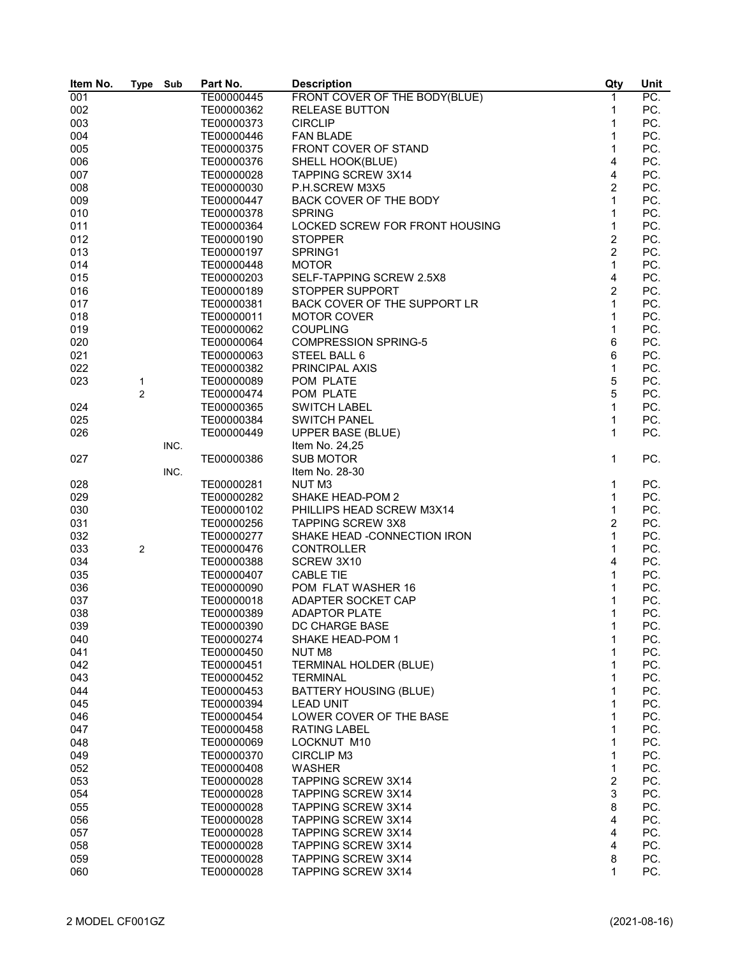| Item No. | <b>Type</b>    | Sub  | Part No.   | <b>Description</b>             | Qty            | Unit              |
|----------|----------------|------|------------|--------------------------------|----------------|-------------------|
| 001      |                |      | TE00000445 | FRONT COVER OF THE BODY(BLUE)  | $\mathbf{1}$   | $\overline{PC}$ . |
| 002      |                |      | TE00000362 | <b>RELEASE BUTTON</b>          | 1              | PC.               |
| 003      |                |      | TE00000373 | <b>CIRCLIP</b>                 | 1              | PC.               |
| 004      |                |      | TE00000446 | <b>FAN BLADE</b>               | 1              | PC.               |
| 005      |                |      | TE00000375 | FRONT COVER OF STAND           | 1              | PC.               |
|          |                |      |            |                                | 4              |                   |
| 006      |                |      | TE00000376 | SHELL HOOK(BLUE)               |                | PC.               |
| 007      |                |      | TE00000028 | <b>TAPPING SCREW 3X14</b>      | 4              | PC.               |
| 008      |                |      | TE00000030 | P.H.SCREW M3X5                 | $\overline{c}$ | PC.               |
| 009      |                |      | TE00000447 | BACK COVER OF THE BODY         | 1              | PC.               |
| 010      |                |      | TE00000378 | <b>SPRING</b>                  | 1              | PC.               |
| 011      |                |      | TE00000364 | LOCKED SCREW FOR FRONT HOUSING | 1              | PC.               |
| 012      |                |      | TE00000190 | <b>STOPPER</b>                 | $\overline{2}$ | PC.               |
| 013      |                |      | TE00000197 | SPRING1                        | $\overline{2}$ | PC.               |
| 014      |                |      | TE00000448 | <b>MOTOR</b>                   | 1              | PC.               |
| 015      |                |      | TE00000203 | SELF-TAPPING SCREW 2.5X8       | 4              | PC.               |
|          |                |      |            |                                |                |                   |
| 016      |                |      | TE00000189 | STOPPER SUPPORT                | $\overline{c}$ | PC.               |
| 017      |                |      | TE00000381 | BACK COVER OF THE SUPPORT LR   | 1              | PC.               |
| 018      |                |      | TE00000011 | <b>MOTOR COVER</b>             | 1              | PC.               |
| 019      |                |      | TE00000062 | <b>COUPLING</b>                | 1              | PC.               |
| 020      |                |      | TE00000064 | <b>COMPRESSION SPRING-5</b>    | 6              | PC.               |
| 021      |                |      | TE00000063 | STEEL BALL 6                   | 6              | PC.               |
| 022      |                |      | TE00000382 | PRINCIPAL AXIS                 | 1              | PC.               |
| 023      | 1              |      | TE00000089 | POM PLATE                      | 5              | PC.               |
|          | $\overline{2}$ |      | TE00000474 | POM PLATE                      | 5              | PC.               |
|          |                |      | TE00000365 | <b>SWITCH LABEL</b>            | 1              | PC.               |
| 024      |                |      |            |                                |                |                   |
| 025      |                |      | TE00000384 | <b>SWITCH PANEL</b>            | 1              | PC.               |
| 026      |                |      | TE00000449 | <b>UPPER BASE (BLUE)</b>       | 1              | PC.               |
|          |                | INC. |            | Item No. 24,25                 |                |                   |
| 027      |                |      | TE00000386 | <b>SUB MOTOR</b>               | 1              | PC.               |
|          |                | INC. |            | Item No. 28-30                 |                |                   |
| 028      |                |      | TE00000281 | NUT <sub>M3</sub>              | 1              | PC.               |
| 029      |                |      | TE00000282 | SHAKE HEAD-POM 2               | 1              | PC.               |
| 030      |                |      | TE00000102 | PHILLIPS HEAD SCREW M3X14      | 1              | PC.               |
| 031      |                |      | TE00000256 | <b>TAPPING SCREW 3X8</b>       | 2              | PC.               |
| 032      |                |      | TE00000277 | SHAKE HEAD -CONNECTION IRON    | 1              | PC.               |
| 033      | $\overline{c}$ |      | TE00000476 | <b>CONTROLLER</b>              | 1              | PC.               |
| 034      |                |      | TE00000388 | SCREW 3X10                     | 4              | PC.               |
|          |                |      |            |                                | 1              |                   |
| 035      |                |      | TE00000407 | <b>CABLE TIE</b>               |                | PC.               |
| 036      |                |      | TE00000090 | POM FLAT WASHER 16             | 1              | PC.               |
| 037      |                |      | TE00000018 | ADAPTER SOCKET CAP             | 1              | PC.               |
| 038      |                |      | TE00000389 | <b>ADAPTOR PLATE</b>           | 1              | PC.               |
| 039      |                |      | TE00000390 | DC CHARGE BASE                 | 1              | PC.               |
| 040      |                |      | TE00000274 | SHAKE HEAD-POM 1               | 1              | PC.               |
| 041      |                |      | TE00000450 | NUT M8                         | 1              | PC.               |
| 042      |                |      | TE00000451 | TERMINAL HOLDER (BLUE)         | 1              | PC.               |
| 043      |                |      | TE00000452 | <b>TERMINAL</b>                | 1              | PC.               |
| 044      |                |      | TE00000453 | <b>BATTERY HOUSING (BLUE)</b>  | 1              | PC.               |
| 045      |                |      | TE00000394 | <b>LEAD UNIT</b>               | 1              | PC.               |
| 046      |                |      |            | LOWER COVER OF THE BASE        | 1              | PC.               |
|          |                |      | TE00000454 |                                |                |                   |
| 047      |                |      | TE00000458 | <b>RATING LABEL</b>            | 1              | PC.               |
| 048      |                |      | TE00000069 | LOCKNUT M10                    | 1              | PC.               |
| 049      |                |      | TE00000370 | <b>CIRCLIP M3</b>              | 1              | PC.               |
| 052      |                |      | TE00000408 | <b>WASHER</b>                  | 1              | PC.               |
| 053      |                |      | TE00000028 | <b>TAPPING SCREW 3X14</b>      | $\overline{2}$ | PC.               |
| 054      |                |      | TE00000028 | <b>TAPPING SCREW 3X14</b>      | $\mathsf 3$    | PC.               |
| 055      |                |      | TE00000028 | TAPPING SCREW 3X14             | $\bf 8$        | PC.               |
| 056      |                |      | TE00000028 | <b>TAPPING SCREW 3X14</b>      | $\overline{4}$ | PC.               |
| 057      |                |      | TE00000028 | <b>TAPPING SCREW 3X14</b>      | 4              | PC.               |
| 058      |                |      | TE00000028 | <b>TAPPING SCREW 3X14</b>      | 4              | PC.               |
| 059      |                |      | TE00000028 | <b>TAPPING SCREW 3X14</b>      | 8              | PC.               |
| 060      |                |      | TE00000028 | TAPPING SCREW 3X14             | 1              | PC.               |
|          |                |      |            |                                |                |                   |